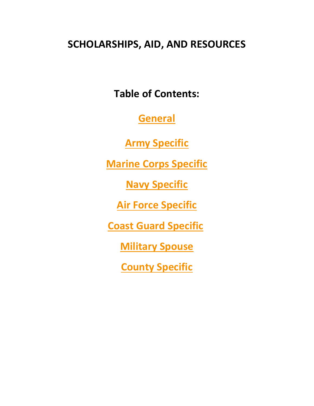# **SCHOLARSHIPS, AID, AND RESOURCES**

**Table of Contents:** 

**[General](#page-1-0)**

**Army [Specific](#page-7-0)**

**[Marine Corps](#page-8-0) Specific**

**[Navy Specific](#page-9-0)**

**[Air Force Specific](#page-9-1)**

**[Coast Guard Specific](#page-10-0)**

**[Military Spouse](#page-10-1)**

**[County Specific](#page-10-2)**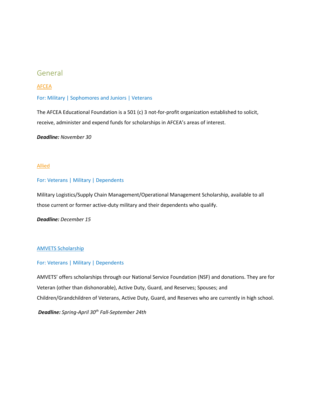## <span id="page-1-0"></span>General

#### [AFCEA](https://www.afcea.org/site/foundation/scholarships)

#### For: Military | Sophomores and Juniors | Veterans

The AFCEA Educational Foundation is a 501 (c) 3 not-for-profit organization established to solicit, receive, administer and expend funds for scholarships in AFCEA's areas of interest.

#### *Deadline: November 30*

#### [Allied](https://www.allied.com/military-scholarship)

#### For: Veterans | Military | Dependents

Military Logistics/Supply Chain Management/Operational Management Scholarship, available to all those current or former active-duty military and their dependents who qualify.

*Deadline: December 15*

#### [AMVETS Scholarship](https://amvets.org/scholarships/)

#### For: Veterans | Military | Dependents

AMVETS' offers scholarships through our National Service Foundation (NSF) and donations. They are for Veteran (other than dishonorable), Active Duty, Guard, and Reserves; Spouses; and Children/Grandchildren of Veterans, Active Duty, Guard, and Reserves who are currently in high school.

*Deadline: Spring-April 30th Fall-September 24th*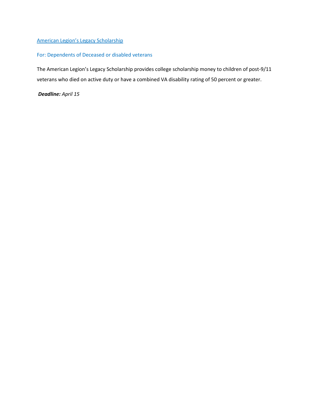## [American Legion's Legacy Scholarship](https://www.legion.org/scholarships/legacy)

## For: Dependents of Deceased or disabled veterans

The American Legion's Legacy Scholarship provides college scholarship money to children of post-9/11 veterans who died on active duty or have a combined VA disability rating of 50 percent or greater.

### *Deadline: April 15*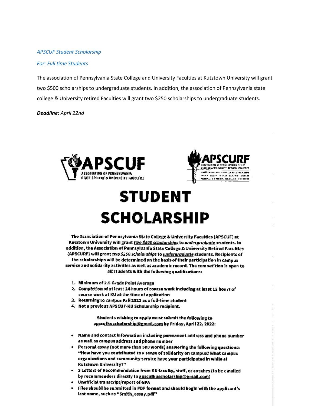#### *APSCUF Student Scholarship*

#### *For: Full time Students*

The association of Pennsylvania State College and University Faculties at Kutztown University will grant two \$500 scholarships to undergraduate students. In addition, the association of Pennsylvania state college & University retired Faculties will grant two \$250 scholarships to undergraduate students.

#### *Deadline: April 22nd*





# **STUDENT SCHOLARSHIP**

The Association of Ponnsylvania State College & University Faculties (APSCUF) at Kusztown University will grant two \$500 scholarships to undergraduate students. In addition, the Association of Pennsylvania State College & University Retired Facultles (APSCURF) will grant two \$250 scholarships to undergraduate students. Recipients of the scholarships will be determined on the basis of their participation in campus, service and solidarity activities as well as academic record. The competition is open to all students with the following qualifications:

- 1. Minimum of 2.5 Grade Point Average
- 2. Completion of at least 24 hours of course work including at least 12 hours of course work at KU at the time of application
- 3. Returning to campus Fall 2022 as a full-time student
- 4. Not a previous APSCUF-KU Scholarship recipient,

Students wishing to apply must submit the following to apstufkuscholarship@gmail.com by Friday, April 22, 2022:

- . Name and contact information including permanent address and phone number as well as campus address and phone number
- Personal essay (not more than 500 words) answering the following questions: "How have you contributed to a sense of solidarity on campus? What campus organizations and community service have your participated in while at Kutztown University?"
- . 2 Letters of Recommendation from KU faculty, staff, or coaches (to be emailed by recommenders directly to apsculkuscholarship@gmail.com)
- · Unofficial transcript/report of GPA
- Files should be submitted in PDF format and should begin with the applicant's last name, such as "Smith\_essay.pdf"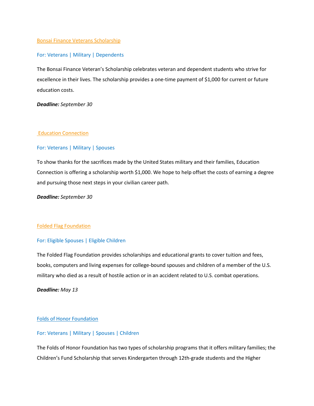#### [Bonsai Finance Veterans Scholarship](https://bonsaifinance.com/veterans-scholarship/)

#### For: Veterans | Military | Dependents

The Bonsai Finance Veteran's Scholarship celebrates veteran and dependent students who strive for excellence in their lives. The scholarship provides a one-time payment of \$1,000 for current or future education costs.

*Deadline: September 30*

#### [Education Connection](https://www.educationconnection.com/online-colleges/military-scholarship/)

#### For: Veterans | Military | Spouses

To show thanks for the sacrifices made by the United States military and their families, Education Connection is offering a scholarship worth \$1,000. We hope to help offset the costs of earning a degree and pursuing those next steps in your civilian career path.

*Deadline: September 30*

#### Folded [Flag Foundation](https://www.foldedflagfoundation.org/how-to-apply/)

#### For: Eligible Spouses | Eligible Children

The Folded Flag Foundation provides scholarships and educational grants to cover tuition and fees, books, computers and living expenses for college-bound spouses and children of a member of the U.S. military who died as a result of hostile action or in an accident related to U.S. combat operations.

#### *Deadline: May 13*

#### [Folds of Honor Foundation](https://foldsofhonor.org/scholarships/)

#### For: Veterans | Military | Spouses | Children

The Folds of Honor Foundation has two types of scholarship programs that it offers military families; the Children's Fund Scholarship that serves Kindergarten through 12th-grade students and the Higher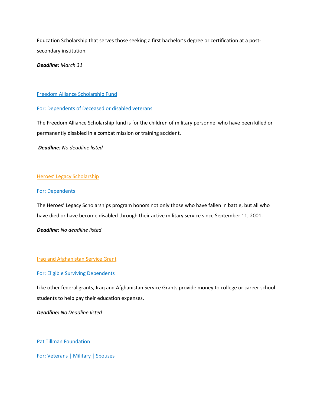Education Scholarship that serves those seeking a first bachelor's degree or certification at a postsecondary institution.

*Deadline: March 31* 

#### [Freedom Alliance Scholarship Fund](https://fascholarship.com/)

#### For: Dependents of Deceased or disabled veterans

The Freedom Alliance Scholarship fund is for the children of military personnel who have been killed or permanently disabled in a combat mission or training accident.

*Deadline: No deadline listed*

#### [Heroes' Legacy Scholarship](https://fisherhouse.org/programs/scholarship-programs/heroes-legacy-scholarship/)

#### For: Dependents

The Heroes' Legacy Scholarships program honors not only those who have fallen in battle, but all who have died or have become disabled through their active military service since September 11, 2001.

*Deadline: No deadline listed*

#### [Iraq and Afghanistan Service Grant](https://studentaid.gov/understand-aid/types/grants/iraq-afghanistan-service)

#### For: Eligible Surviving Dependents

Like other federal grants, Iraq and Afghanistan Service Grants provide money to college or career school students to help pay their education expenses.

*Deadline: No Deadline listed*

[Pat Tillman Foundation](https://pattillmanfoundation.org/tillman-scholars-military-scholarships/)

For: Veterans | Military | Spouses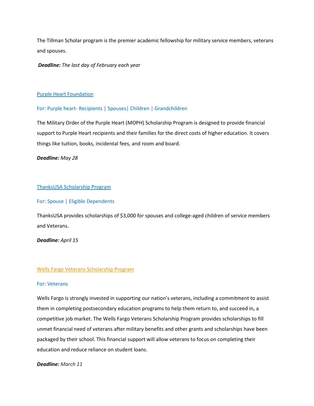The Tillman Scholar program is the premier academic fellowship for military service members, veterans and spouses.

*Deadline: The last day of February each year*

#### [Purple Heart Foundation](https://support.purpleheartfoundation.org/campaign/academic-scholarship-program/c282680)

#### For: Purple heart- Recipients | Spouses| Children | Grandchildren

The Military Order of the Purple Heart (MOPH) Scholarship Program is designed to provide financial support to Purple Heart recipients and their families for the direct costs of higher education. It covers things like tuition, books, incidental fees, and room and board.

#### *Deadline: May 28*

#### [ThanksUSA Scholarship Program](https://www.thanksusa.org/scholarships.html)

#### For: Spouse | Eligible Dependents

ThanksUSA provides scholarships of \$3,000 for spouses and college-aged children of service members and Veterans.

*Deadline: April 15*

#### [Wells Fargo Veterans Scholarship Program](https://learnmore.scholarsapply.org/wellsfargoveterans/)

#### For: Veterans

Wells Fargo is strongly invested in supporting our nation's veterans, including a commitment to assist them in completing postsecondary education programs to help them return to, and succeed in, a competitive job market. The Wells Fargo Veterans Scholarship Program provides scholarships to fill unmet financial need of veterans after military benefits and other grants and scholarships have been packaged by their school. This financial support will allow veterans to focus on completing their education and reduce reliance on student loans.

#### *Deadline: March 11*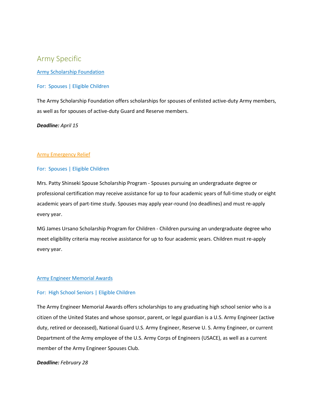# <span id="page-7-0"></span>Army Specific

#### [Army Scholarship Foundation](https://armyscholarshipfoundation.org/scholarships/)

#### For: Spouses | Eligible Children

The Army Scholarship Foundation offers scholarships for spouses of enlisted active-duty Army members, as well as for spouses of active-duty Guard and Reserve members.

#### *Deadline: April 15*

#### [Army Emergency Relief](https://www.armyemergencyrelief.org/scholarships/)

#### For: Spouses | Eligible Children

Mrs. Patty Shinseki Spouse Scholarship Program - Spouses pursuing an undergraduate degree or professional certification may receive assistance for up to four academic years of full-time study or eight academic years of part-time study. Spouses may apply year-round (no deadlines) and must re-apply every year.

MG James Ursano Scholarship Program for Children - Children pursuing an undergraduate degree who meet eligibility criteria may receive assistance for up to four academic years. Children must re-apply every year.

#### [Army Engineer Memorial Awards](https://www.armyengineerspouses.org/army-engineer-memorial-awards-aema.html)

#### For: High School Seniors | Eligible Children

The Army Engineer Memorial Awards offers scholarships to any graduating high school senior who is a citizen of the United States and whose sponsor, parent, or legal guardian is a U.S. Army Engineer (active duty, retired or deceased), National Guard U.S. Army Engineer, Reserve U. S. Army Engineer, or current Department of the Army employee of the U.S. Army Corps of Engineers (USACE), as well as a current member of the Army Engineer Spouses Club.

#### *Deadline: February 28*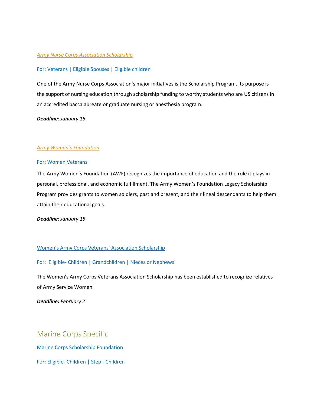#### *[Army Nurse Corps Association Scholarship](https://e-anca.org/scholarships)*

#### For: Veterans | Eligible Spouses | Eligible children

One of the Army Nurse Corps Association's major initiatives is the Scholarship Program. Its purpose is the support of nursing education through scholarship funding to worthy students who are US citizens in an accredited baccalaureate or graduate nursing or anesthesia program.

#### *Deadline: January 15*

#### *[Army Women's Foundation](https://www.awfdn.org/scholarships/general-information/)*

#### For: Women Veterans

The Army Women's Foundation (AWF) recognizes the importance of education and the role it plays in personal, professional, and economic fulfillment. The Army Women's Foundation Legacy Scholarship Program provides grants to women soldiers, past and present, and their lineal descendants to help them attain their educational goals.

*Deadline: January 15*

#### [Women's Army Corps Veterans' Association Scholarship](https://www.armywomen.org/pdf/_10ScholarApp.pdf)

#### For: Eligible- Children | Grandchildren | Nieces or Nephews

The Women's Army Corps Veterans Association Scholarship has been established to recognize relatives of Army Service Women.

*Deadline: February 2*

# <span id="page-8-0"></span>Marine Corps Specific

[Marine Corps Scholarship Foundation](https://mcsf.scholarshipapps.org/)

For: Eligible- Children | Step - Children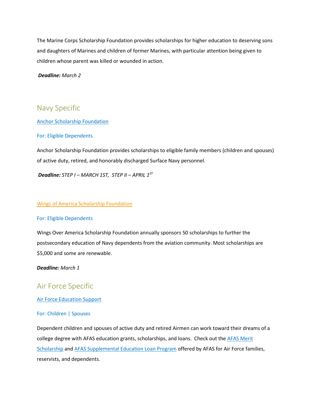The Marine Corps Scholarship Foundation provides scholarships for higher education to deserving sons and daughters of Marines and children of former Marines, with particular attention being given to children whose parent was killed or wounded in action.

*Deadline: March 2*

# <span id="page-9-0"></span>Navy Specific

[Anchor Scholarship Foundation](https://www.anchorscholarshipapplication.com/)

#### For: Eligible Dependents

Anchor Scholarship Foundation provides scholarships to eligible family members (children and spouses) of active duty, retired, and honorably discharged Surface Navy personnel.

*Deadline: STEP I – MARCH 1ST, STEP II – APRIL 1ST*

#### [Wings of America Scholarship Foundation](https://wingsoveramerica.us/app)

#### For: Eligible Dependents

Wings Over America Scholarship Foundation annually sponsors 50 scholarships to further the postsecondary education of Navy dependents from the aviation community. Most scholarships are \$5,000 and some are renewable.

*Deadline: March 1*

# <span id="page-9-1"></span>Air Force Specific

[Air Force Education Support](https://afas.org/education-support/)

#### For: Children | Spouses

Dependent children and spouses of active duty and retired Airmen can work toward their dreams of a college degree with AFAS education grants, scholarships, and loans. Check out the AFAS Merit [Scholarship](https://afas.org/how-we-help/afas-merit-scholarship/) and [AFAS Supplemental Education Loan Program](https://afas.org/afas-supplemental-education-loan/) offered by AFAS for Air Force families, reservists, and dependents.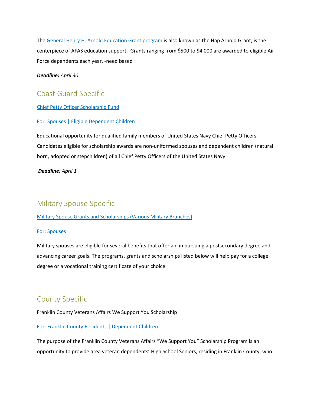The [General Henry H. Arnold Education Grant program](https://afas.org/haparnoldgrant/) is also known as the Hap Arnold Grant, is the centerpiece of AFAS education support. Grants ranging from \$500 to \$4,000 are awarded to eligible Air Force dependents each year. -need based

*Deadline: April 30*

# <span id="page-10-0"></span>Coast Guard Specific

[Chief Petty Officer Scholarship Fund](https://www.cposf.org/scholarship)

#### For: Spouses | Eligible Dependent Children

Educational opportunity for qualified family members of United States Navy Chief Petty Officers. Candidates eligible for scholarship awards are non-uniformed spouses and dependent children (natural born, adopted or stepchildren) of all Chief Petty Officers of the United States Navy.

*Deadline: April 1*

# <span id="page-10-1"></span>Military Spouse Specific

#### [Military Spouse Grants and Scholarships \(Various Military Branches\)](https://www.militaryonesource.mil/education-employment/for-spouses/for-spouses-benefits/)

#### For: Spouses

Military spouses are eligible for several benefits that offer aid in pursuing a postsecondary degree and advancing career goals. The programs, grants and scholarships listed below will help pay for a college degree or a vocational training certificate of your choice.

# <span id="page-10-2"></span>County Specific

Franklin County Veterans Affairs We Support You Scholarship

#### For: Franklin County Residents | Dependent Children

The purpose of the Franklin County Veterans Affairs "We Support You" Scholarship Program is an opportunity to provide area veteran dependents' High School Seniors, residing in Franklin County, who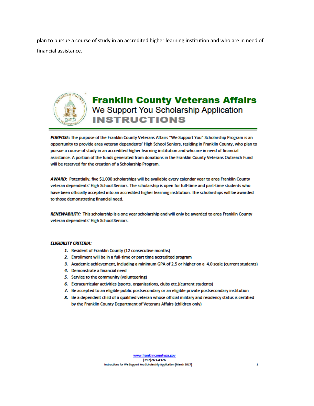plan to pursue a course of study in an accredited higher learning institution and who are in need of financial assistance.



# **Franklin County Veterans Affairs** We Support You Scholarship Application **INSTRUCTIONS**

PURPOSE: The purpose of the Franklin County Veterans Affairs "We Support You" Scholarship Program is an opportunity to provide area veteran dependents' High School Seniors, residing in Franklin County, who plan to pursue a course of study in an accredited higher learning institution and who are in need of financial assistance. A portion of the funds generated from donations in the Franklin County Veterans Outreach Fund will be reserved for the creation of a Scholarship Program.

AWARD: Potentially, five \$1,000 scholarships will be available every calendar year to area Franklin County veteran dependents' High School Seniors. The scholarship is open for full-time and part-time students who have been officially accepted into an accredited higher learning institution. The scholarships will be awarded to those demonstrating financial need.

RENEWABILITY: This scholarship is a one year scholarship and will only be awarded to area Franklin County veteran dependents' High School Seniors.

#### **ELIGIBILITY CRITERIA:**

- 1. Resident of Franklin County (12 consecutive months)
- 2. Enrollment will be in a full-time or part time accredited program
- 3. Academic achievement, including a minimum GPA of 2.5 or higher on a 4.0 scale (current students)
- 4. Demonstrate a financial need
- 5. Service to the community (volunteering)
- 6. Extracurricular activities (sports, organizations, clubs etc.)(current students)
- 7. Be accepted to an eligible public postsecondary or an eligible private postsecondary institution
- 8. Be a dependent child of a qualified veteran whose official military and residency status is certified by the Franklin County Department of Veterans Affairs (children only)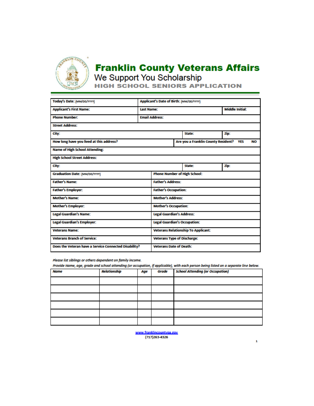

# **Franklin County Veterans Affairs** We Support You Scholarship<br>HIGH SCHOOL SENIORS APPLICATION

| Today's Date: (MM/DD/YYYY)                            |                                    | Applicant's Date of Birth: (MM/DD/YYYY) |                                                         |                                     |                        |  |  |  |
|-------------------------------------------------------|------------------------------------|-----------------------------------------|---------------------------------------------------------|-------------------------------------|------------------------|--|--|--|
| <b>Applicant's First Name:</b>                        |                                    | <b>Last Name:</b>                       |                                                         |                                     | <b>Middle Initial:</b> |  |  |  |
| <b>Phone Number:</b>                                  | <b>Email Address:</b>              |                                         |                                                         |                                     |                        |  |  |  |
| <b>Street Address:</b>                                |                                    |                                         |                                                         |                                     |                        |  |  |  |
| City:                                                 |                                    |                                         |                                                         | Zip:<br><b>State:</b>               |                        |  |  |  |
| How long have you lived at this address?              |                                    |                                         | Are you a Franklin County Resident?<br><b>YES</b><br>NΟ |                                     |                        |  |  |  |
| <b>Name of High School Attending:</b>                 |                                    |                                         |                                                         |                                     |                        |  |  |  |
| <b>High School Street Address:</b>                    |                                    |                                         |                                                         |                                     |                        |  |  |  |
| City:                                                 |                                    |                                         |                                                         | State:                              | Zip:                   |  |  |  |
| Graduation Date: (MM/DD/YYYY)                         |                                    |                                         |                                                         | <b>Phone Number of High School:</b> |                        |  |  |  |
| <b>Father's Name:</b>                                 |                                    |                                         |                                                         | <b>Father's Address:</b>            |                        |  |  |  |
| <b>Father's Employer:</b>                             |                                    |                                         |                                                         | <b>Father's Occupation:</b>         |                        |  |  |  |
| <b>Mother's Name:</b>                                 |                                    | Mother's Address:                       |                                                         |                                     |                        |  |  |  |
| <b>Mother's Employer:</b>                             |                                    | <b>Mother's Occupation:</b>             |                                                         |                                     |                        |  |  |  |
| <b>Legal Guardian's Name:</b>                         |                                    | <b>Legal Guardian's Address:</b>        |                                                         |                                     |                        |  |  |  |
| <b>Legal Guardian's Employer:</b>                     |                                    | <b>Legal Guardian's Occupation:</b>     |                                                         |                                     |                        |  |  |  |
| <b>Veterans Name:</b>                                 |                                    |                                         | <b>Veterans Relationship To Applicant:</b>              |                                     |                        |  |  |  |
| <b>Veterans Branch of Service:</b>                    | <b>Veterans Type of Discharge:</b> |                                         |                                                         |                                     |                        |  |  |  |
| Does the Veteran have a Service Connected Disability? |                                    | <b>Veterans Date of Death:</b>          |                                                         |                                     |                        |  |  |  |

Please list siblings or others dependent on family income.

Provide Name, age, grade and school attending (or occupation, if applicable), with each person being listed on a separate line below.

| <b>Name</b> | Relationship | Age | Grade | <b>School Attending (or Occupation)</b> |
|-------------|--------------|-----|-------|-----------------------------------------|
|             |              |     |       |                                         |
|             |              |     |       |                                         |
|             |              |     |       |                                         |
|             |              |     |       |                                         |
|             |              |     |       |                                         |
|             |              |     |       |                                         |

www.franklincountvoa.eov (717) 263-4326